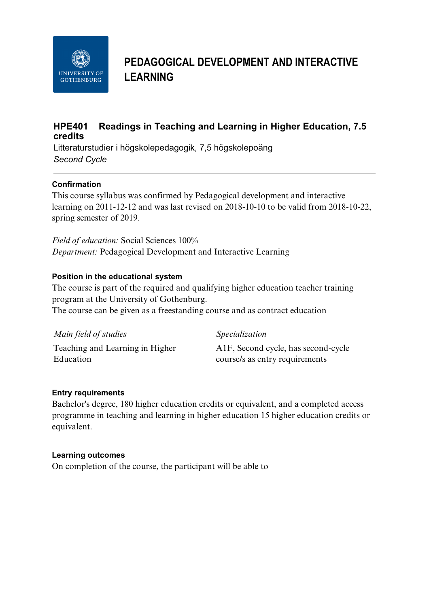

# **PEDAGOGICAL DEVELOPMENT AND INTERACTIVE LEARNING**

# **HPE401 Readings in Teaching and Learning in Higher Education, 7.5 credits**

Litteraturstudier i högskolepedagogik, 7,5 högskolepoäng *Second Cycle*

## **Confirmation**

This course syllabus was confirmed by Pedagogical development and interactive learning on 2011-12-12 and was last revised on 2018-10-10 to be valid from 2018-10-22, spring semester of 2019.

*Field of education:* Social Sciences 100% *Department:* Pedagogical Development and Interactive Learning

## **Position in the educational system**

The course is part of the required and qualifying higher education teacher training program at the University of Gothenburg.

The course can be given as a freestanding course and as contract education

| Main field of studies           | <i>Specialization</i>               |
|---------------------------------|-------------------------------------|
| Teaching and Learning in Higher | A1F, Second cycle, has second-cycle |
| Education                       | course/s as entry requirements      |

#### **Entry requirements**

Bachelor's degree, 180 higher education credits or equivalent, and a completed access programme in teaching and learning in higher education 15 higher education credits or equivalent.

#### **Learning outcomes**

On completion of the course, the participant will be able to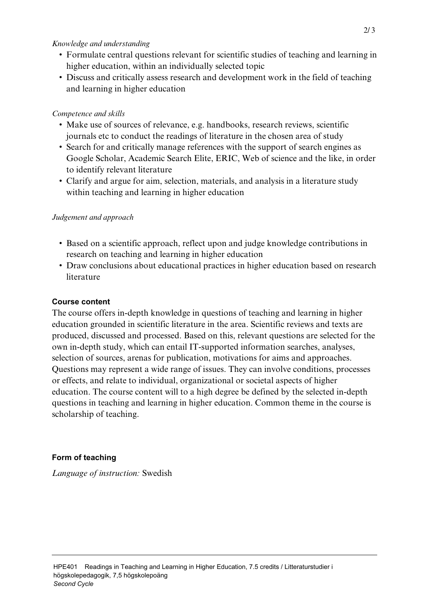#### *Knowledge and understanding*

- Formulate central questions relevant for scientific studies of teaching and learning in higher education, within an individually selected topic
- Discuss and critically assess research and development work in the field of teaching and learning in higher education

### *Competence and skills*

- Make use of sources of relevance, e.g. handbooks, research reviews, scientific journals etc to conduct the readings of literature in the chosen area of study
- Search for and critically manage references with the support of search engines as Google Scholar, Academic Search Elite, ERIC, Web of science and the like, in order to identify relevant literature
- Clarify and argue for aim, selection, materials, and analysis in a literature study within teaching and learning in higher education

#### *Judgement and approach*

- Based on a scientific approach, reflect upon and judge knowledge contributions in research on teaching and learning in higher education
- Draw conclusions about educational practices in higher education based on research literature

#### **Course content**

The course offers in-depth knowledge in questions of teaching and learning in higher education grounded in scientific literature in the area. Scientific reviews and texts are produced, discussed and processed. Based on this, relevant questions are selected for the own in-depth study, which can entail IT-supported information searches, analyses, selection of sources, arenas for publication, motivations for aims and approaches. Questions may represent a wide range of issues. They can involve conditions, processes or effects, and relate to individual, organizational or societal aspects of higher education. The course content will to a high degree be defined by the selected in-depth questions in teaching and learning in higher education. Common theme in the course is scholarship of teaching.

#### **Form of teaching**

*Language of instruction:* Swedish